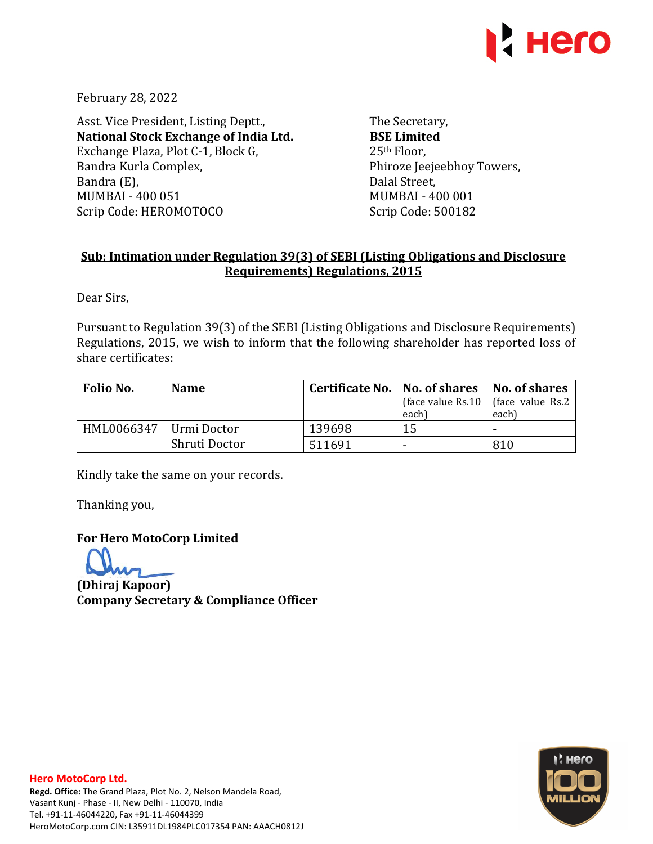

February 28, 2022

Asst. Vice President, Listing Deptt., **National Stock Exchange of India Ltd.**  Exchange Plaza, Plot C-1, Block G, Bandra Kurla Complex, Bandra (E), MUMBAI - 400 051 Scrip Code: HEROMOTOCO

The Secretary, **BSE Limited**  25th Floor, Phiroze Jeejeebhoy Towers, Dalal Street, MUMBAI - 400 001 Scrip Code: 500182

## **Sub: Intimation under Regulation 39(3) of SEBI (Listing Obligations and Disclosure Requirements) Regulations, 2015**

Dear Sirs,

Pursuant to Regulation 39(3) of the SEBI (Listing Obligations and Disclosure Requirements) Regulations, 2015, we wish to inform that the following shareholder has reported loss of share certificates:

| Folio No.  | <b>Name</b>     | Certificate No.   No. of shares   No. of shares | each) | (face value Rs.10   (face value Rs.2)<br>each) |
|------------|-----------------|-------------------------------------------------|-------|------------------------------------------------|
| HML0066347 | - Urmi Doctor - | 139698                                          | 15    | $\,$                                           |
|            | Shruti Doctor   | 511691                                          |       | 810                                            |

Kindly take the same on your records.

Thanking you,

**For Hero MotoCorp Limited** 

**(Dhiraj Kapoor) Company Secretary & Compliance Officer**